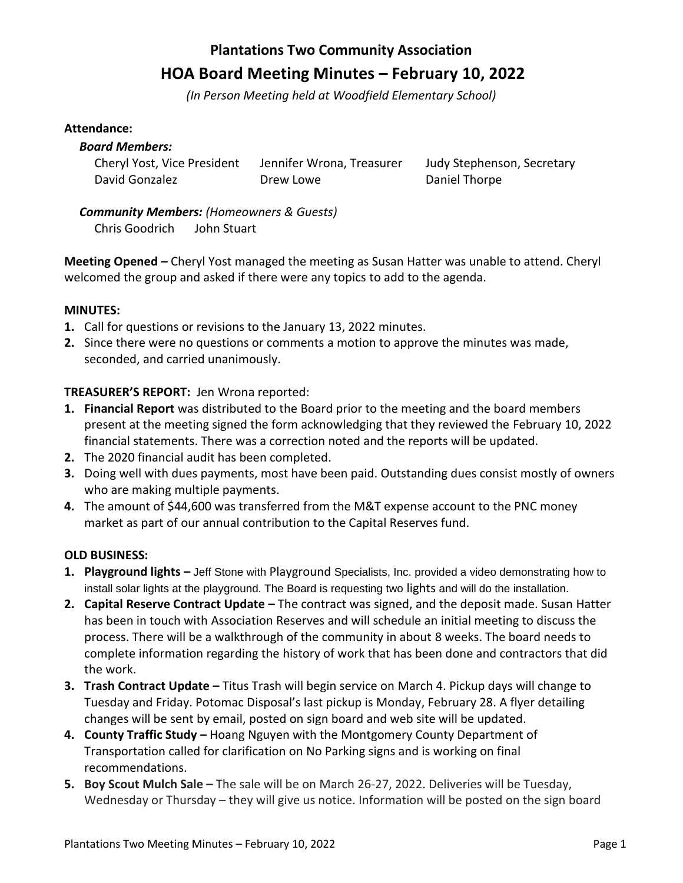# **Plantations Two Community Association HOA Board Meeting Minutes – February 10, 2022**

*(In Person Meeting held at Woodfield Elementary School)*

## **Attendance:**

# *Board Members:*

David Gonzalez **Drew Lowe** Drew Lowe Daniel Thorpe

Cheryl Yost, Vice President Jennifer Wrona, Treasurer Judy Stephenson, Secretary

*Community Members: (Homeowners & Guests)* Chris Goodrich John Stuart

**Meeting Opened –** Cheryl Yost managed the meeting as Susan Hatter was unable to attend. Cheryl welcomed the group and asked if there were any topics to add to the agenda.

# **MINUTES:**

- **1.** Call for questions or revisions to the January 13, 2022 minutes.
- **2.** Since there were no questions or comments a motion to approve the minutes was made, seconded, and carried unanimously.

# **TREASURER'S REPORT:** Jen Wrona reported:

- **1. Financial Report** was distributed to the Board prior to the meeting and the board members present at the meeting signed the form acknowledging that they reviewed the February 10, 2022 financial statements. There was a correction noted and the reports will be updated.
- **2.** The 2020 financial audit has been completed.
- **3.** Doing well with dues payments, most have been paid. Outstanding dues consist mostly of owners who are making multiple payments.
- **4.** The amount of \$44,600 was transferred from the M&T expense account to the PNC money market as part of our annual contribution to the Capital Reserves fund.

# **OLD BUSINESS:**

- **1. Playground lights –** Jeff Stone with Playground Specialists, Inc. provided a video demonstrating how to install solar lights at the playground. The Board is requesting two lights and will do the installation.
- **2. Capital Reserve Contract Update –** The contract was signed, and the deposit made. Susan Hatter has been in touch with Association Reserves and will schedule an initial meeting to discuss the process. There will be a walkthrough of the community in about 8 weeks. The board needs to complete information regarding the history of work that has been done and contractors that did the work.
- **3. Trash Contract Update –** Titus Trash will begin service on March 4. Pickup days will change to Tuesday and Friday. Potomac Disposal's last pickup is Monday, February 28. A flyer detailing changes will be sent by email, posted on sign board and web site will be updated.
- **4. County Traffic Study –** Hoang Nguyen with the Montgomery County Department of Transportation called for clarification on No Parking signs and is working on final recommendations.
- **5. Boy Scout Mulch Sale –** The sale will be on March 26-27, 2022. Deliveries will be Tuesday, Wednesday or Thursday – they will give us notice. Information will be posted on the sign board